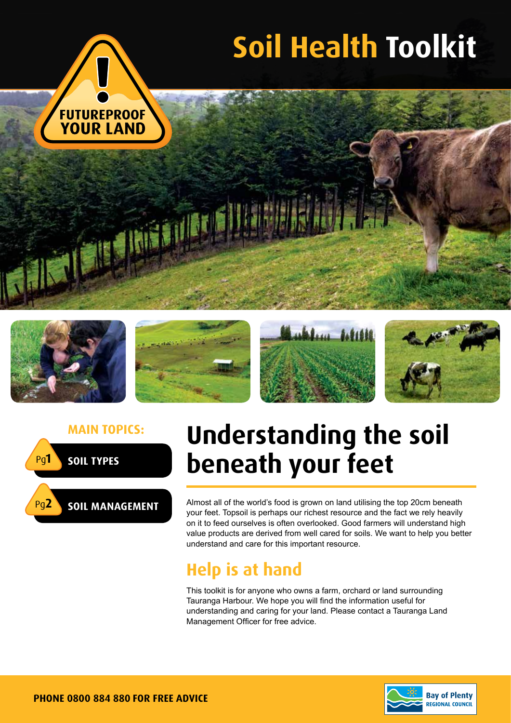











**Main topics: Understanding the soil beneath your feet**

> Almost all of the world's food is grown on land utilising the top 20cm beneath your feet. Topsoil is perhaps our richest resource and the fact we rely heavily on it to feed ourselves is often overlooked. Good farmers will understand high value products are derived from well cared for soils. We want to help you better understand and care for this important resource.

## **Help is at hand**

This toolkit is for anyone who owns a farm, orchard or land surrounding Tauranga Harbour. We hope you will find the information useful for understanding and caring for your land. Please contact a Tauranga Land Management Officer for free advice.

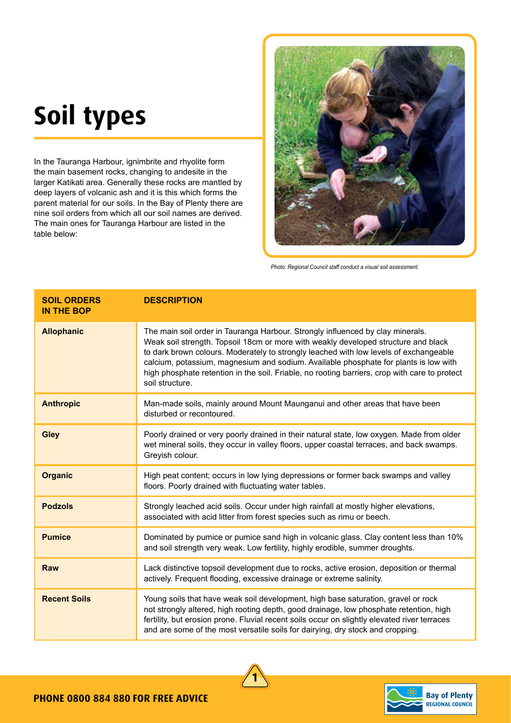# **Soil types**

In the Tauranga Harbour, ignimbrite and rhyolite form the main basement rocks, changing to andesite in the larger Katikati area. Generally these rocks are mantled by deep layers of volcanic ash and it is this which forms the parent material for our soils. In the Bay of Plenty there are nine soil orders from which all our soil names are derived. The main ones for Tauranga Harbour are listed in the table below:



*Photo: Regional Council staff conduct a visual soil assessment.*

| <b>SOIL ORDERS</b><br><b>IN THE BOP</b> | <b>DESCRIPTION</b>                                                                                                                                                                                                                                                                                                                                                                                                                                                        |
|-----------------------------------------|---------------------------------------------------------------------------------------------------------------------------------------------------------------------------------------------------------------------------------------------------------------------------------------------------------------------------------------------------------------------------------------------------------------------------------------------------------------------------|
| <b>Allophanic</b>                       | The main soil order in Tauranga Harbour. Strongly influenced by clay minerals.<br>Weak soil strength. Topsoil 18cm or more with weakly developed structure and black<br>to dark brown colours. Moderately to strongly leached with low levels of exchangeable<br>calcium, potassium, magnesium and sodium. Available phosphate for plants is low with<br>high phosphate retention in the soil. Friable, no rooting barriers, crop with care to protect<br>soil structure. |
| <b>Anthropic</b>                        | Man-made soils, mainly around Mount Maunganui and other areas that have been<br>disturbed or recontoured.                                                                                                                                                                                                                                                                                                                                                                 |
| <b>Gley</b>                             | Poorly drained or very poorly drained in their natural state, low oxygen. Made from older<br>wet mineral soils, they occur in valley floors, upper coastal terraces, and back swamps.<br>Greyish colour.                                                                                                                                                                                                                                                                  |
| <b>Organic</b>                          | High peat content; occurs in low lying depressions or former back swamps and valley<br>floors. Poorly drained with fluctuating water tables.                                                                                                                                                                                                                                                                                                                              |
| <b>Podzols</b>                          | Strongly leached acid soils. Occur under high rainfall at mostly higher elevations,<br>associated with acid litter from forest species such as rimu or beech.                                                                                                                                                                                                                                                                                                             |
| <b>Pumice</b>                           | Dominated by pumice or pumice sand high in volcanic glass. Clay content less than 10%<br>and soil strength very weak. Low fertility, highly erodible, summer droughts.                                                                                                                                                                                                                                                                                                    |
| <b>Raw</b>                              | Lack distinctive topsoil development due to rocks, active erosion, deposition or thermal<br>actively. Frequent flooding, excessive drainage or extreme salinity.                                                                                                                                                                                                                                                                                                          |
| <b>Recent Soils</b>                     | Young soils that have weak soil development, high base saturation, gravel or rock<br>not strongly altered, high rooting depth, good drainage, low phosphate retention, high<br>fertility, but erosion prone. Fluvial recent soils occur on slightly elevated river terraces<br>and are some of the most versatile soils for dairying, dry stock and cropping.                                                                                                             |



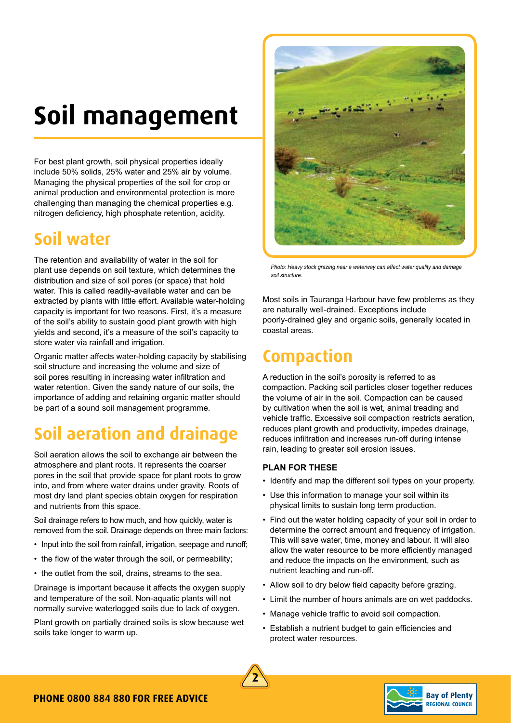## **Soil management**

For best plant growth, soil physical properties ideally include 50% solids, 25% water and 25% air by volume. Managing the physical properties of the soil for crop or animal production and environmental protection is more challenging than managing the chemical properties e.g. nitrogen deficiency, high phosphate retention, acidity.

## **Soil water**

The retention and availability of water in the soil for plant use depends on soil texture, which determines the distribution and size of soil pores (or space) that hold water. This is called readily-available water and can be extracted by plants with little effort. Available water-holding capacity is important for two reasons. First, it's a measure of the soil's ability to sustain good plant growth with high yields and second, it's a measure of the soil's capacity to store water via rainfall and irrigation.

Organic matter affects water-holding capacity by stabilising soil structure and increasing the volume and size of soil pores resulting in increasing water infiltration and water retention. Given the sandy nature of our soils, the importance of adding and retaining organic matter should be part of a sound soil management programme.

## **Soil aeration and drainage**

Soil aeration allows the soil to exchange air between the atmosphere and plant roots. It represents the coarser pores in the soil that provide space for plant roots to grow into, and from where water drains under gravity. Roots of most dry land plant species obtain oxygen for respiration and nutrients from this space.

Soil drainage refers to how much, and how quickly, water is removed from the soil. Drainage depends on three main factors:

- Input into the soil from rainfall, irrigation, seepage and runoff;
- the flow of the water through the soil, or permeability;
- the outlet from the soil, drains, streams to the sea.

Drainage is important because it affects the oxygen supply and temperature of the soil. Non-aquatic plants will not normally survive waterlogged soils due to lack of oxygen.

Plant growth on partially drained soils is slow because wet soils take longer to warm up.



*Photo: Heavy stock grazing near a waterway can affect water quality and damage soil structure.*

Most soils in Tauranga Harbour have few problems as they are naturally well-drained. Exceptions include poorly-drained gley and organic soils, generally located in coastal areas.

## **Compaction**

A reduction in the soil's porosity is referred to as compaction. Packing soil particles closer together reduces the volume of air in the soil. Compaction can be caused by cultivation when the soil is wet, animal treading and vehicle traffic. Excessive soil compaction restricts aeration, reduces plant growth and productivity, impedes drainage, reduces infiltration and increases run-off during intense rain, leading to greater soil erosion issues.

#### **PLAN FOR THESE**

- Identify and map the different soil types on your property.
- Use this information to manage your soil within its physical limits to sustain long term production.
- Find out the water holding capacity of your soil in order to determine the correct amount and frequency of irrigation. This will save water, time, money and labour. It will also allow the water resource to be more efficiently managed and reduce the impacts on the environment, such as nutrient leaching and run-off.
- Allow soil to dry below field capacity before grazing.
- Limit the number of hours animals are on wet paddocks.
- Manage vehicle traffic to avoid soil compaction.
- Establish a nutrient budget to gain efficiencies and protect water resources.